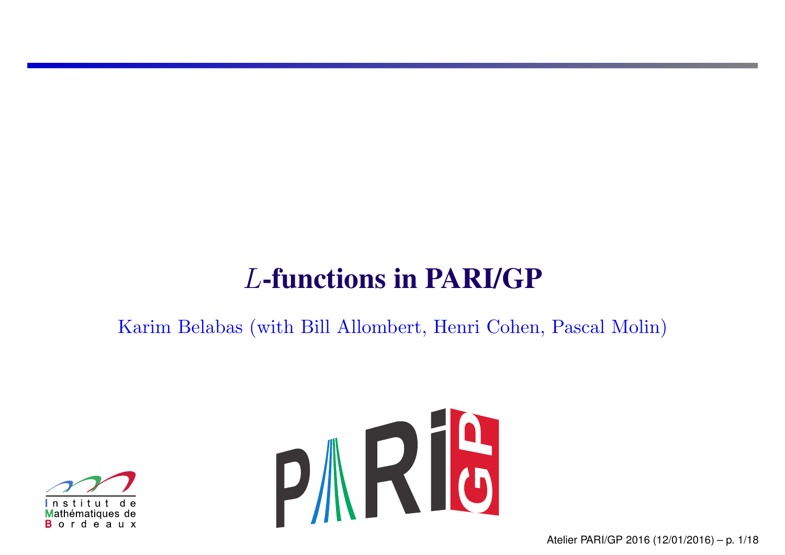# *L*-functions in PARI/GP

Karim Belabas (with Bill Allombert, Henri Cohen, Pascal Molin)



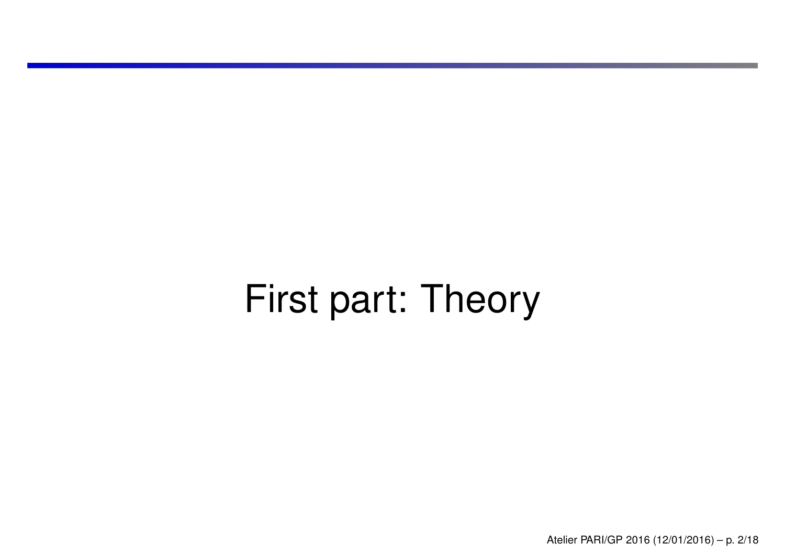# First part: Theory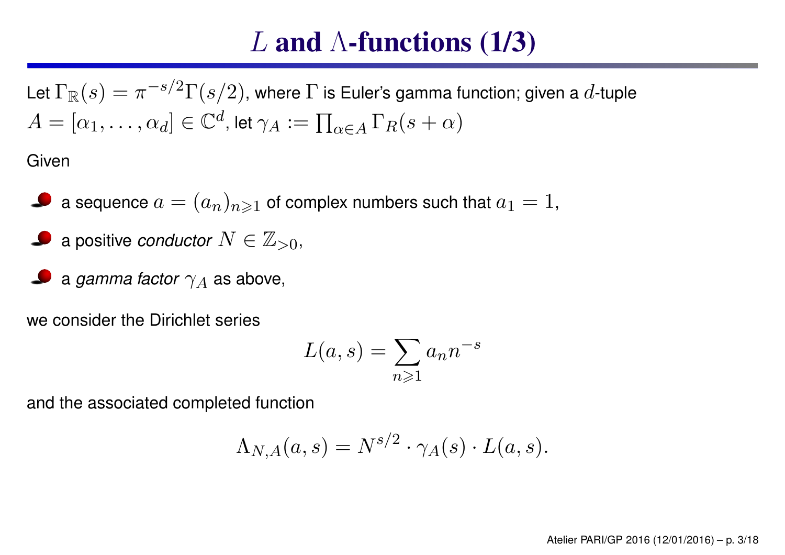## *L* and  $\Lambda$ -functions (1/3)

Let  $\Gamma_{\mathbb{R}}(s) = \pi^{-s/2} \Gamma(s/2)$ , where  $\Gamma$  is Euler's gamma function; given a  $d$ -tuple  $A = [\alpha_1, \ldots, \alpha_d] \in \mathbb{C}^d$ , let  $\gamma_A := \prod_{\alpha \in A} \Gamma_R(s + \alpha)$ 

Given

- a sequence  $a = (a_n)_{n \geq 1}$  of complex numbers such that  $a_1 = 1$ ,
- **a** positive *conductor*  $N \in \mathbb{Z}_{>0}$ ,
- a *gamma factor*  $\gamma_A$  as above,

we consider the Dirichlet series

$$
L(a,s) = \sum_{n \geq 1} a_n n^{-s}
$$

and the associated completed function

$$
\Lambda_{N,A}(a,s) = N^{s/2} \cdot \gamma_A(s) \cdot L(a,s).
$$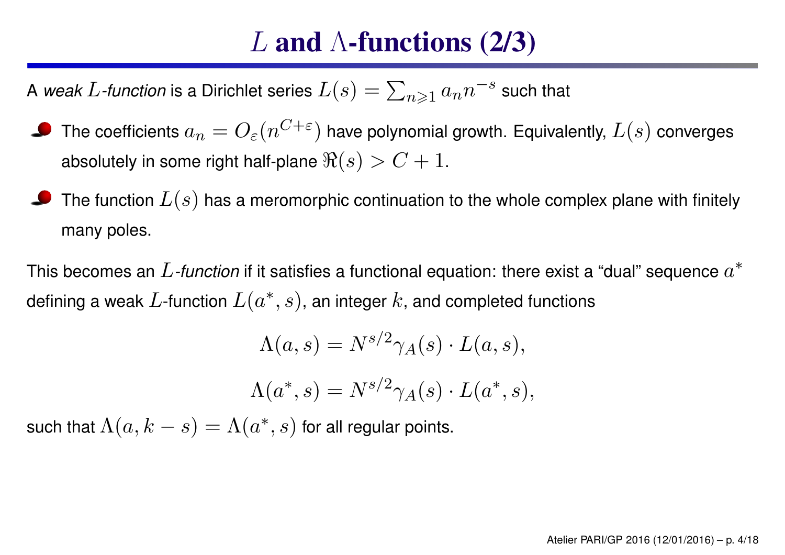## *L* and Λ-functions (2/3)

A *weak L*-function is a Dirichlet series  $L(s) = \sum_{n \geq 1} a_n n^{-s}$  such that

- The coefficients  $a_n = O_{\varepsilon}(n^{C+\varepsilon})$  have polynomial growth. Equivalently,  $L(s)$  converges absolutely in some right half-plane  $\Re(s) > C + 1$ .
- The function *<sup>L</sup>*(*s*) has <sup>a</sup> meromorphic continuation to the whole complex plane with finitely many poles.

This becomes an *L-function* if it satisfies <sup>a</sup> functional equation: there exist <sup>a</sup> "dual" sequence *<sup>a</sup>*<sup>∗</sup> defining a weak  $L$ -function  $L(a^*, s)$ , an integer  $k$ , and completed functions

$$
\Lambda(a,s) = N^{s/2} \gamma_A(s) \cdot L(a,s),
$$

$$
\Lambda(a^*, s) = N^{s/2} \gamma_A(s) \cdot L(a^*, s),
$$

such that  $\Lambda(a, k - s) = \Lambda(a^*, s)$  for all regular points.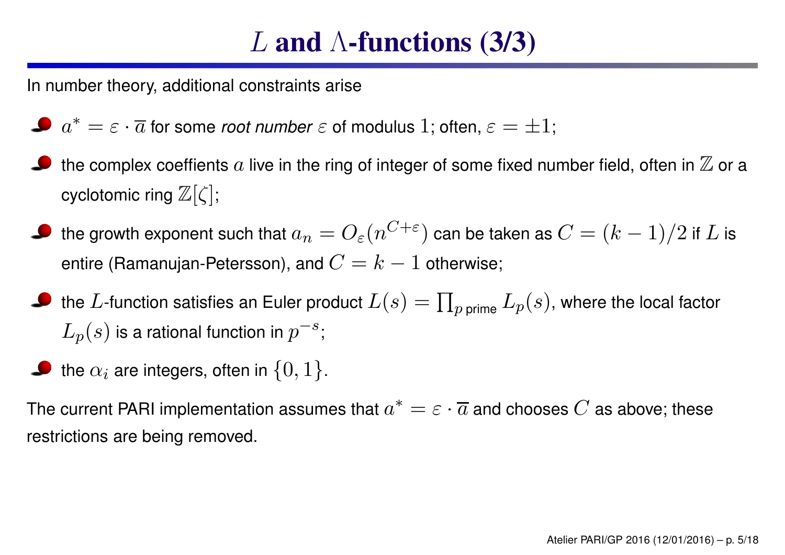# *L* and Λ-functions (3/3)

In number theory, additional constraints arise

- $a^* = \varepsilon \cdot \overline{a}$  for some *root number*  $\varepsilon$  of modulus 1; often,  $\varepsilon = \pm 1$ ;
- the complex coeffients  $a$  live in the ring of integer of some fixed number field, often in  $\mathbb Z$  or a cyclotomic ring <sup>Z</sup>[*ζ*];
- $\bullet$  the growth exponent such that  $a_n = O_{\varepsilon}(n^{C+\varepsilon})$  can be taken as  $C = (k-1)/2$  if  $L$  is entire (Ramanujan-Petersson), and  $C = k - 1$  otherwise;
- $\bullet$  the *L*-function satisfies an Euler product  $L(s) = \prod_{p \text{ prime}} L_p(s)$ , where the local factor  $L_p(s)$  is a rational function in  $p^{-s}$ ;
- the  $\alpha_i$  are integers, often in  $\{0,1\}$ .

The current PARI implementation assumes that  $a^* = \varepsilon \cdot \overline{a}$  and chooses  $C$  as above; these restrictions are being removed.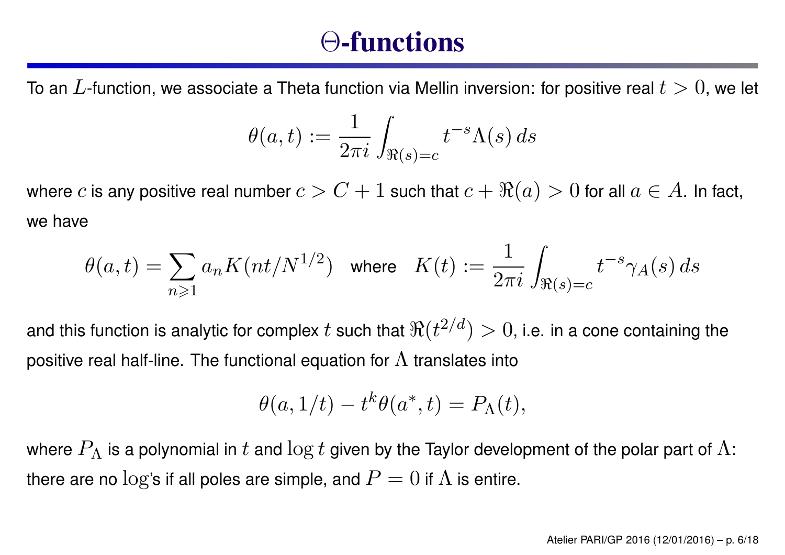#### Θ-functions

To an *L*-function, we associate <sup>a</sup> Theta function via Mellin inversion: for positive real *<sup>t</sup> <sup>&</sup>gt;* 0, we let

$$
\theta(a,t):=\frac{1}{2\pi i}\int_{\Re(s)=c}t^{-s}\Lambda(s)\,ds
$$

where *c* is any positive real number  $c > C + 1$  such that  $c + \Re(a) > 0$  for all  $a \in A$ . In fact, we have

$$
\theta(a,t)=\sum_{n\geqslant 1} a_n K(nt/N^{1/2}) \quad \text{where} \quad K(t):=\frac{1}{2\pi i} \int_{\Re(s)=c} t^{-s} \gamma_A(s)\,ds
$$

and this function is analytic for complex *t* such that  $\Re(t^{2/d}) > 0$ , i.e. in a cone containing the positive real half-line. The functional equation for  $\Lambda$  translates into

$$
\theta(a,1/t) - t^k \theta(a^*,t) = P_{\Lambda}(t),
$$

where  $P_{\Lambda}$  is a polynomial in  $t$  and  $\log t$  given by the Taylor development of the polar part of  $\Lambda$ : there are no  $\log$ 's if all poles are simple, and  $P=0$  if  $\Lambda$  is entire.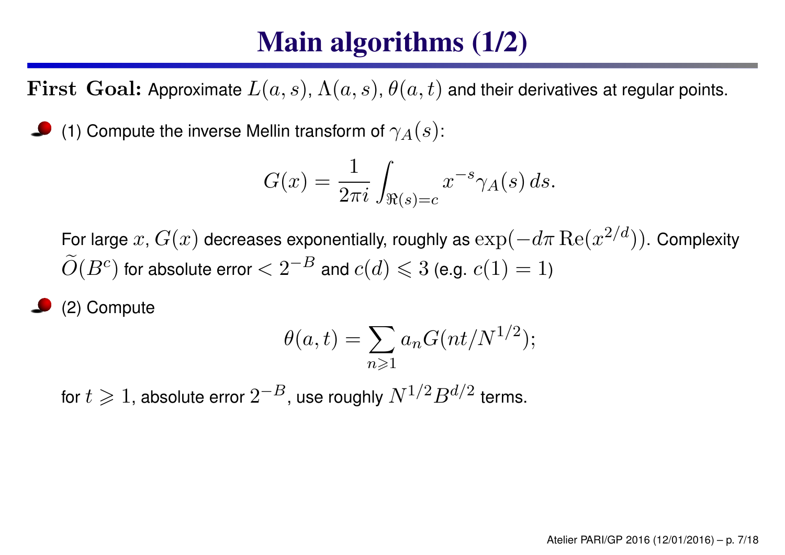# Main algorithms (1/2)

 $\bf{First\,\, Goal:}$  Approximate  $L(a,s)$ ,  $\Lambda(a,s)$ ,  $\theta(a,t)$  and their derivatives at regular points.

(1) Compute the inverse Mellin transform of  $\gamma_A(s)$ :

$$
G(x) = \frac{1}{2\pi i} \int_{\Re(s)=c} x^{-s} \gamma_A(s) ds.
$$

For large  $x$ ,  $G(x)$  decreases exponentially, roughly as  $\exp(-d\pi \operatorname{Re}(x^{2/d}))$ . Complexity  $\widetilde{O}(B^c)$  for absolute error  $< 2^{-B}$  and  $c(d) \leqslant 3$  (e.g.  $c(1) = 1$ )

(2) Compute

$$
\theta(a,t) = \sum_{n\geqslant 1} a_n G(nt/N^{1/2});
$$

for  $t\geqslant 1$ , absolute error  $2^{-B}$ , use roughly  $N^{1/2}B^{d/2}$  terms.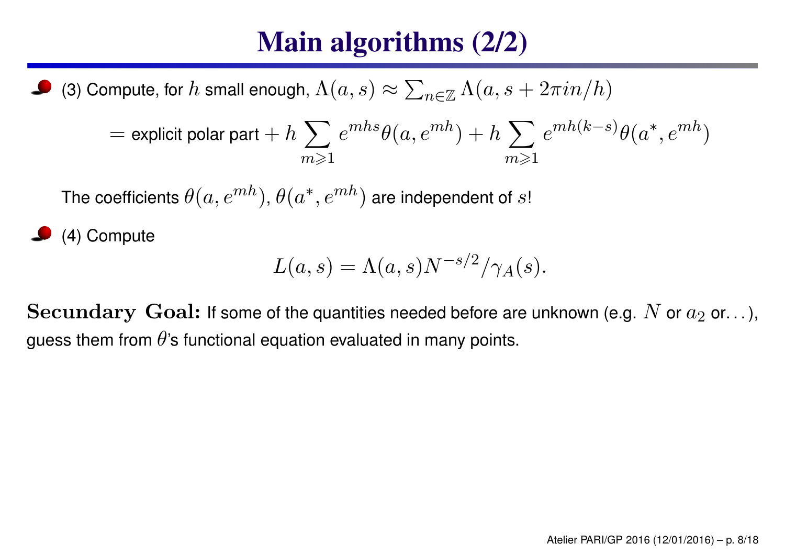# Main algorithms (2/2)

(3) Compute, for  $h$  small enough,  $\Lambda(a,s) \approx \sum_{n \in \mathbb{Z}} \Lambda(a,s+2\pi i n/h)$ 

$$
= \text{explicit polar part} + h \sum_{m \geq 1} e^{mhs} \theta(a, e^{mh}) + h \sum_{m \geq 1} e^{mh(k-s)} \theta(a^*, e^{mh})
$$

The coefficients  $\theta(a,e^{mh}), \theta(a^*,e^{mh})$  are independent of  $s!$ 

(4) Compute

$$
L(a,s) = \Lambda(a,s)N^{-s/2}/\gamma_A(s).
$$

 ${\bf Secundary\,\, Goal:}$  If some of the quantities needed before are unknown (e.g.  $N$  or  $a_2$  or. . . ), guess them from  $\theta$ 's functional equation evaluated in many points.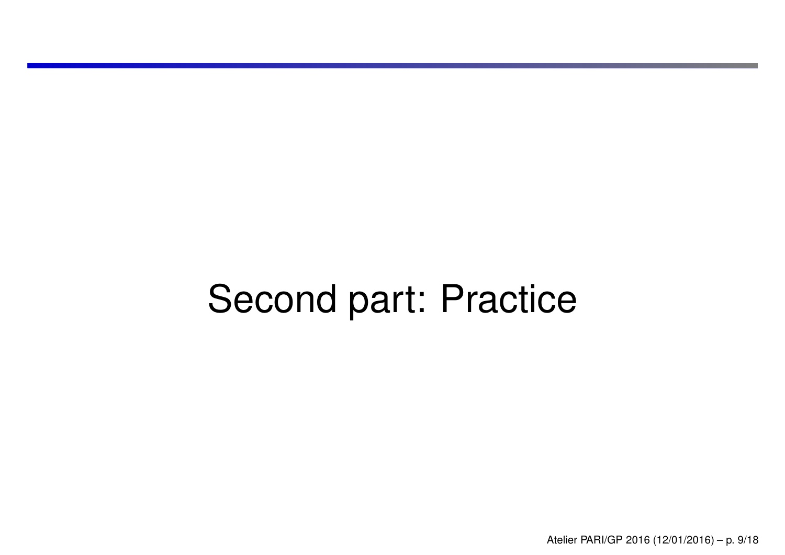# Second part: Practice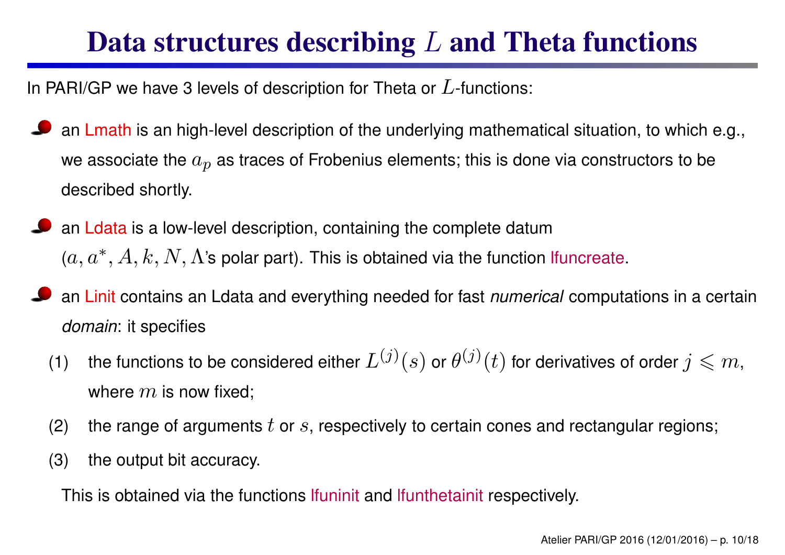## Data structures describing *L* and Theta functions

In PARI/GP we have 3 levels of description for Theta or *L*-functions:

- an Lmath is an high-level description of the underlying mathematical situation, to which e.g., we associate the  $a_{\bm p}$  as traces of Frobenius elements; this is done via constructors to be described shortly.
- an Ldata is <sup>a</sup> low-level description, containing the complete datum  $(a,a^*,A,k,N,\Lambda$ 's polar part). This is obtained via the function lfuncreate.
- an Linit contains an Ldata and everything needed for fast *numerical* computations in <sup>a</sup> certain *domain*: it specifies
	- (1) the functions to be considered either  $L^{(j)}(s)$  or  $\theta^{(j)}(t)$  for derivatives of order  $j\leqslant m,$ where  $m$  is now fixed;
	- (2)  $\;$  the range of arguments  $t$  or  $s$ , respectively to certain cones and rectangular regions;
	- (3) the output bit accuracy.

This is obtained via the functions lfuninit and lfunthetainit respectively.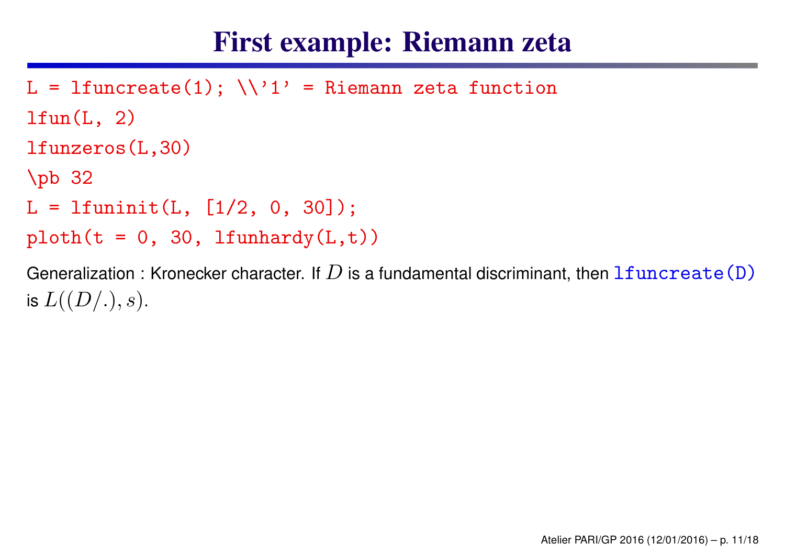#### First example: Riemann zeta

```
L = lfuncreate(1); \setminus \setminus 1' = Riemann zeta function
ltun(L, 2)lfunzeros(L,30)
\pb 32
L = 1funinit(L, [1/2, 0, 30]);
ploth(t = 0, 30, 1funhardy(L,t))
```
Generalization : Kronecker character. If  $D$  is a fundamental discriminant, then  ${\tt lfuncreate}({\tt D})$ is  $L((D/.),s).$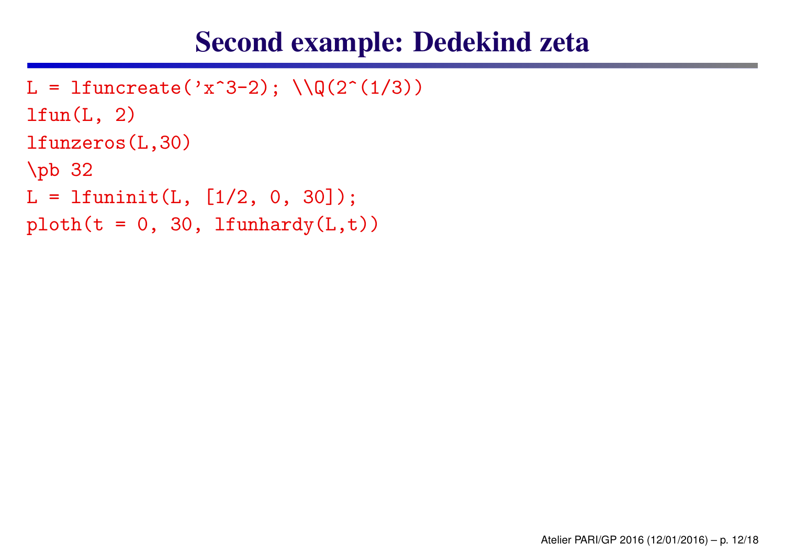#### Second example: Dedekind zeta

```
L = lfuncreate('x<sup>\hat{}3-2); \\Q(2\hat{}(1/3))</sup>
ltun(L, 2)lfunzeros(L,30)
\pb 32
L = 1funinit(L, [1/2, 0, 30]);
ploth(t = 0, 30, 1funhardy(L,t))
```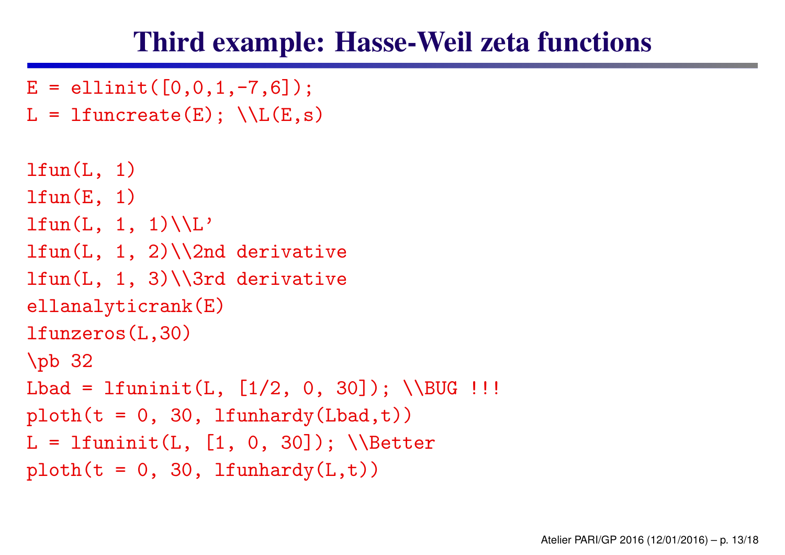#### Third example: Hasse-Weil zeta functions

```
E = ellinit([0, 0, 1, -7, 6]);
L = lfuncreate(E); \setminusL(E,s)
ltun(L, 1)lfun(E, 1)ltum(L, 1, 1)\backslash L'ltum(L, 1, 2)\12nd derivativelfun(L, 1, 3)\\3rd derivative
ellanalyticrank(E)
lfunzeros(L,30)
\pb 32
Lbad = lfuninit(L, [1/2, 0, 30]); \\BUG !!!
ploth(t = 0, 30, 1funhardy(Lbad,t))L = lfuninit(L, [1, 0, 30]); \\Better
ploth(t = 0, 30, 1funhardy(L,t))
```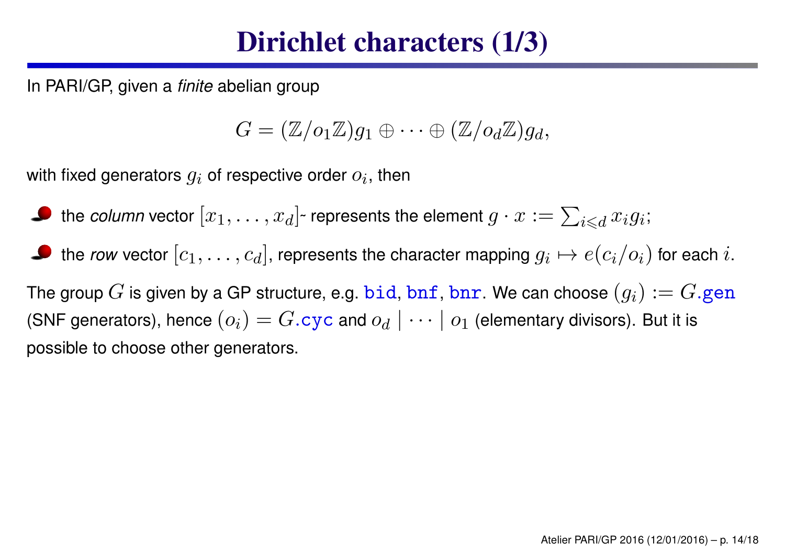#### Dirichlet characters (1/3)

In PARI/GP, given <sup>a</sup> *finite* abelian group

$$
G = (\mathbb{Z}/o_1\mathbb{Z})g_1 \oplus \cdots \oplus (\mathbb{Z}/o_d\mathbb{Z})g_d,
$$

with fixed generators  $g_i$  of respective order  $o_i$ , then

the *column* vector  $[x_1,\ldots,x_d]$  $\tau$  represents the element  $g \cdot x := \sum_{i \leqslant d} x_i g_i;$ 

the *row v*ector  $[c_1,\ldots,c_d]$ , represents the character mapping  $g_i\mapsto e(c_i/o_i)$  for each  $i.$ 

The group  $G$  is given by a GP structure, e.g.  $\mathtt{bid}, \mathtt{bnf}, \mathtt{bnr}.$  We can choose  $(g_i) := G.\mathtt{gen}$ (SNF generators), hence  $(o_i) = G.\texttt{cyc}$  and  $o_d \mid \dots \mid o_1$  (elementary divisors). But it is possible to choose other generators.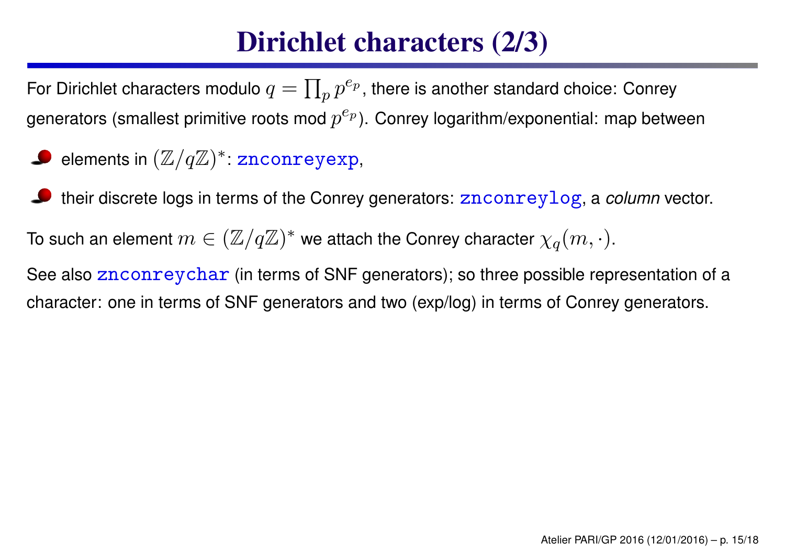## Dirichlet characters (2/3)

For Dirichlet characters modulo  $q=\prod_p p^{e_p}$ , there is another standard choice: Conrey generators (smallest primitive roots mod  $p^{e_p}$ ). Conrey logarithm/exponential: map between

- elements in  $(\mathbb{Z}/q\mathbb{Z})^*$ :  ${\tt znconreyexp},$
- their discrete logs in terms of the Conrey generators: znconreylog, <sup>a</sup> *column* vector.

To such an element  $m\in (\mathbb{Z}/q\mathbb{Z})^*$  we attach the Conrey character  $\chi_q(m,\cdot).$ 

See also znconreychar (in terms of SNF generators); so three possible representation of a character: one in terms of SNF generators and two (exp/log) in terms of Conrey generators.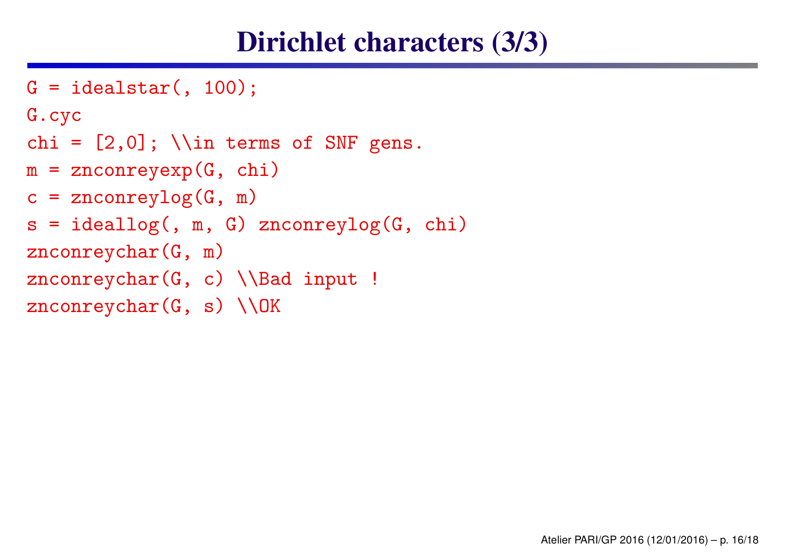#### Dirichlet characters (3/3)

```
G = idealstar(, 100);
G.cyc
chi = [2,0]; \\in terms of SNF gens.
m = znconreyexp(G, chi)
c = \text{znconreylog}(G, m)s = ideallog(, m, G) znconreylog(G, chi)
znconreychar(G, m)
znconreychar(G, c) \setminus \Bad input !
znconreychar(G, s) \\OK
```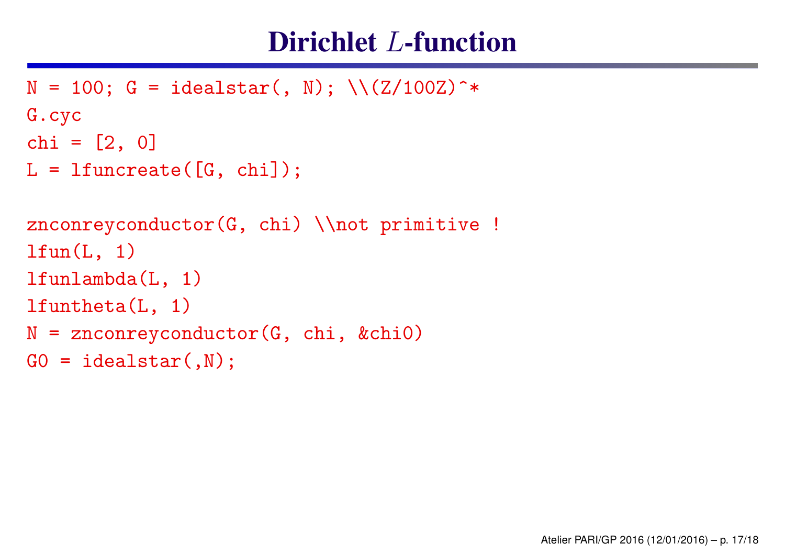#### Dirichlet *L*-function

```
N = 100; G = idealstar(, N); \(\frac{Z}{100Z})^*G.cyc
chi = [2, 0]L = 1funcreate([G, chi]);
znconreyconductor(G, chi) \\not primitive !
ltun(L, 1)lfunlambda(L, 1)
lfuntheta(L, 1)
N = znconreyconductor(G, chi, &chi0)
GO = idealstar(,N);
```